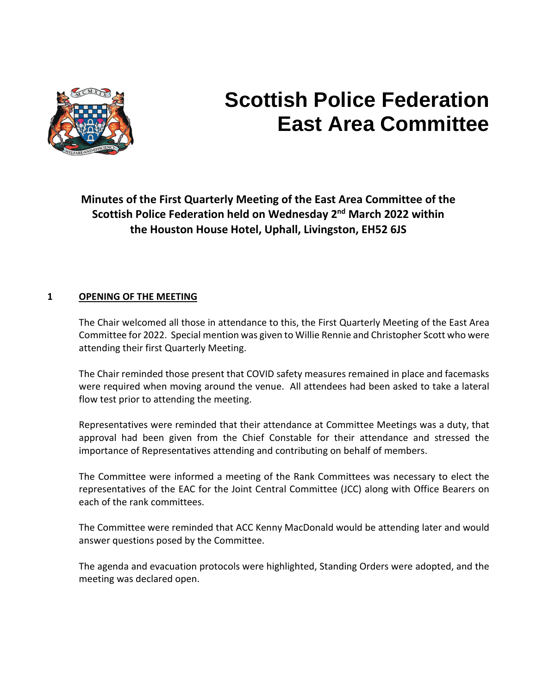

# **Scottish Police Federation East Area Committee**

**Minutes of the First Quarterly Meeting of the East Area Committee of the Scottish Police Federation held on Wednesday 2nd March 2022 within the Houston House Hotel, Uphall, Livingston, EH52 6JS** 

## **1 OPENING OF THE MEETING**

The Chair welcomed all those in attendance to this, the First Quarterly Meeting of the East Area Committee for 2022. Special mention was given to Willie Rennie and Christopher Scott who were attending their first Quarterly Meeting.

The Chair reminded those present that COVID safety measures remained in place and facemasks were required when moving around the venue. All attendees had been asked to take a lateral flow test prior to attending the meeting.

Representatives were reminded that their attendance at Committee Meetings was a duty, that approval had been given from the Chief Constable for their attendance and stressed the importance of Representatives attending and contributing on behalf of members.

The Committee were informed a meeting of the Rank Committees was necessary to elect the representatives of the EAC for the Joint Central Committee (JCC) along with Office Bearers on each of the rank committees.

The Committee were reminded that ACC Kenny MacDonald would be attending later and would answer questions posed by the Committee.

The agenda and evacuation protocols were highlighted, Standing Orders were adopted, and the meeting was declared open.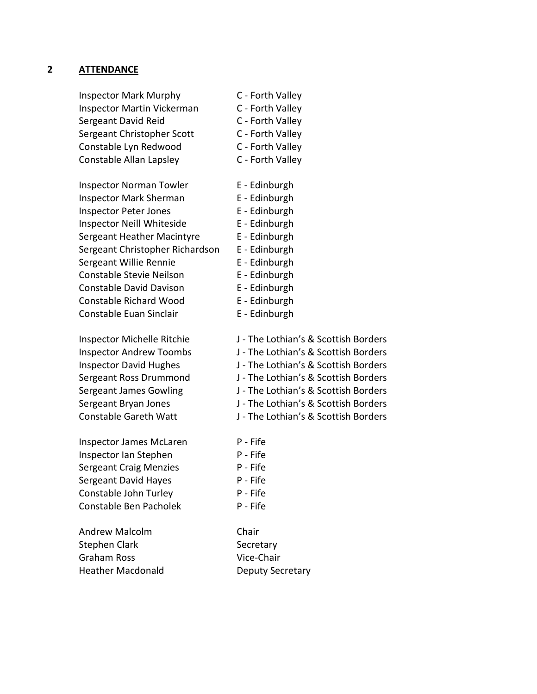#### **2 ATTENDANCE**

Inspector Mark Murphy C - Forth Valley Inspector Martin Vickerman C - Forth Valley Sergeant David Reid C - Forth Valley Sergeant Christopher Scott C - Forth Valley Constable Lyn Redwood C - Forth Valley Constable Allan Lapsley C - Forth Valley

Inspector Norman Towler **E** - Edinburgh Inspector Mark Sherman E - Edinburgh Inspector Peter Jones E - Edinburgh Inspector Neill Whiteside E - Edinburgh Sergeant Heather Macintyre E - Edinburgh Sergeant Christopher Richardson E - Edinburgh Sergeant Willie Rennie F - Edinburgh Constable Stevie Neilson E - Edinburgh Constable David Davison E - Edinburgh Constable Richard Wood E - Edinburgh Constable Euan Sinclair **E** - Edinburgh

Inspector James McLaren P - Fife Inspector Ian Stephen P - Fife Sergeant Craig Menzies P - Fife Sergeant David Hayes P - Fife Constable John Turley P - Fife Constable Ben Pacholek P - Fife

Andrew Malcolm Chair Stephen Clark Secretary Graham Ross Vice-Chair Heather Macdonald **Deputy Secretary** 

- 
- 
- 
- 
- 
- 
- 
- 
- 
- 
- 
- 
- Inspector Michelle Ritchie J The Lothian's & Scottish Borders
- Inspector Andrew Toombs J The Lothian's & Scottish Borders
- Inspector David Hughes J The Lothian's & Scottish Borders
- Sergeant Ross Drummond J The Lothian's & Scottish Borders
- Sergeant James Gowling J The Lothian's & Scottish Borders
- Sergeant Bryan Jones J The Lothian's & Scottish Borders
- Constable Gareth Watt J The Lothian's & Scottish Borders

- 
- 
- 
- 
- 
-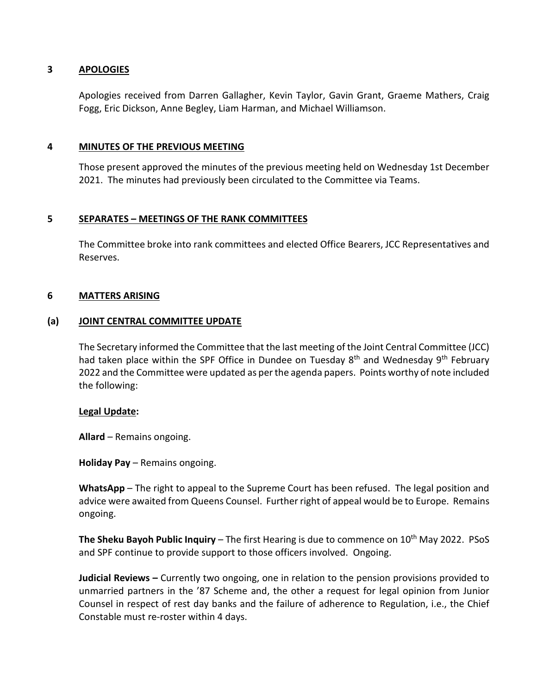#### **3 APOLOGIES**

Apologies received from Darren Gallagher, Kevin Taylor, Gavin Grant, Graeme Mathers, Craig Fogg, Eric Dickson, Anne Begley, Liam Harman, and Michael Williamson.

#### **4 MINUTES OF THE PREVIOUS MEETING**

Those present approved the minutes of the previous meeting held on Wednesday 1st December 2021. The minutes had previously been circulated to the Committee via Teams.

#### **5 SEPARATES – MEETINGS OF THE RANK COMMITTEES**

The Committee broke into rank committees and elected Office Bearers, JCC Representatives and Reserves.

#### **6 MATTERS ARISING**

#### **(a) JOINT CENTRAL COMMITTEE UPDATE**

The Secretary informed the Committee that the last meeting of the Joint Central Committee (JCC) had taken place within the SPF Office in Dundee on Tuesday 8<sup>th</sup> and Wednesday 9<sup>th</sup> February 2022 and the Committee were updated as per the agenda papers. Points worthy of note included the following:

#### **Legal Update:**

**Allard** – Remains ongoing.

**Holiday Pay** – Remains ongoing.

**WhatsApp** – The right to appeal to the Supreme Court has been refused. The legal position and advice were awaited from Queens Counsel. Further right of appeal would be to Europe. Remains ongoing.

**The Sheku Bayoh Public Inquiry** – The first Hearing is due to commence on 10<sup>th</sup> May 2022. PSoS and SPF continue to provide support to those officers involved. Ongoing.

**Judicial Reviews –** Currently two ongoing, one in relation to the pension provisions provided to unmarried partners in the '87 Scheme and, the other a request for legal opinion from Junior Counsel in respect of rest day banks and the failure of adherence to Regulation, i.e., the Chief Constable must re-roster within 4 days.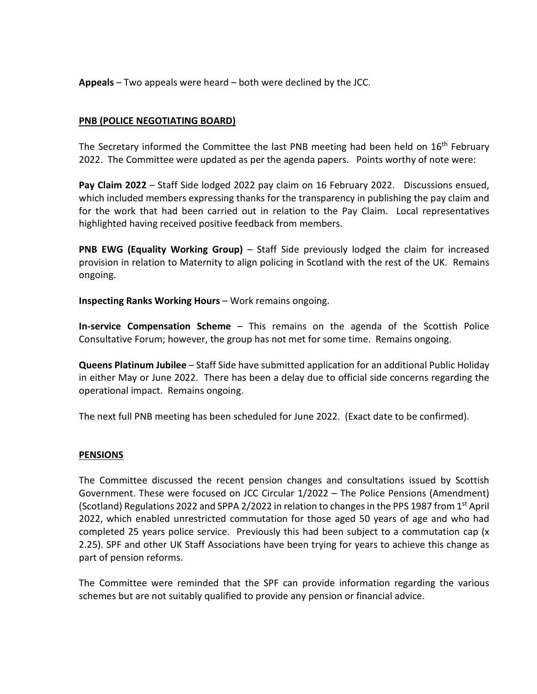**Appeals** – Two appeals were heard – both were declined by the JCC.

## **PNB (POLICE NEGOTIATING BOARD)**

The Secretary informed the Committee the last PNB meeting had been held on  $16<sup>th</sup>$  February 2022. The Committee were updated as per the agenda papers. Points worthy of note were:

**Pay Claim 2022** – Staff Side lodged 2022 pay claim on 16 February 2022. Discussions ensued, which included members expressing thanks for the transparency in publishing the pay claim and for the work that had been carried out in relation to the Pay Claim. Local representatives highlighted having received positive feedback from members.

**PNB EWG (Equality Working Group)** – Staff Side previously lodged the claim for increased provision in relation to Maternity to align policing in Scotland with the rest of the UK. Remains ongoing.

**Inspecting Ranks Working Hours** – Work remains ongoing.

**In-service Compensation Scheme** – This remains on the agenda of the Scottish Police Consultative Forum; however, the group has not met for some time. Remains ongoing.

**Queens Platinum Jubilee** – Staff Side have submitted application for an additional Public Holiday in either May or June 2022. There has been a delay due to official side concerns regarding the operational impact. Remains ongoing.

The next full PNB meeting has been scheduled for June 2022. (Exact date to be confirmed).

#### **PENSIONS**

The Committee discussed the recent pension changes and consultations issued by Scottish Government. These were focused on JCC Circular 1/2022 – The Police Pensions (Amendment) (Scotland) Regulations 2022 and SPPA 2/2022 in relation to changes in the PPS 1987 from 1<sup>st</sup> April 2022, which enabled unrestricted commutation for those aged 50 years of age and who had completed 25 years police service. Previously this had been subject to a commutation cap (x 2.25). SPF and other UK Staff Associations have been trying for years to achieve this change as part of pension reforms.

The Committee were reminded that the SPF can provide information regarding the various schemes but are not suitably qualified to provide any pension or financial advice.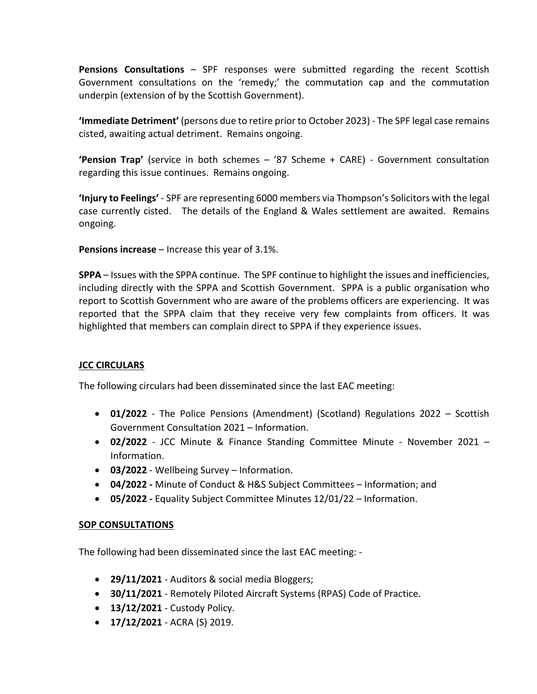**Pensions Consultations** – SPF responses were submitted regarding the recent Scottish Government consultations on the 'remedy;' the commutation cap and the commutation underpin (extension of by the Scottish Government).

**'Immediate Detriment'** (persons due to retire prior to October 2023) - The SPF legal case remains cisted, awaiting actual detriment. Remains ongoing.

**'Pension Trap'** (service in both schemes – '87 Scheme + CARE) - Government consultation regarding this issue continues. Remains ongoing.

**'Injury to Feelings'** - SPF are representing 6000 members via Thompson's Solicitors with the legal case currently cisted. The details of the England & Wales settlement are awaited. Remains ongoing.

**Pensions increase** – Increase this year of 3.1%.

**SPPA** – Issues with the SPPA continue. The SPF continue to highlight the issues and inefficiencies, including directly with the SPPA and Scottish Government. SPPA is a public organisation who report to Scottish Government who are aware of the problems officers are experiencing. It was reported that the SPPA claim that they receive very few complaints from officers. It was highlighted that members can complain direct to SPPA if they experience issues.

# **JCC CIRCULARS**

The following circulars had been disseminated since the last EAC meeting:

- **01/2022** The Police Pensions (Amendment) (Scotland) Regulations 2022 Scottish Government Consultation 2021 – Information.
- **02/2022** JCC Minute & Finance Standing Committee Minute November 2021 Information.
- **03/2022**  Wellbeing Survey Information.
- **04/2022 -** Minute of Conduct & H&S Subject Committees Information; and
- **05/2022 -** Equality Subject Committee Minutes 12/01/22 Information.

# **SOP CONSULTATIONS**

The following had been disseminated since the last EAC meeting: -

- **29/11/2021** Auditors & social media Bloggers;
- **30/11/2021** Remotely Piloted Aircraft Systems (RPAS) Code of Practice.
- **13/12/2021** Custody Policy.
- **17/12/2021** ACRA (S) 2019.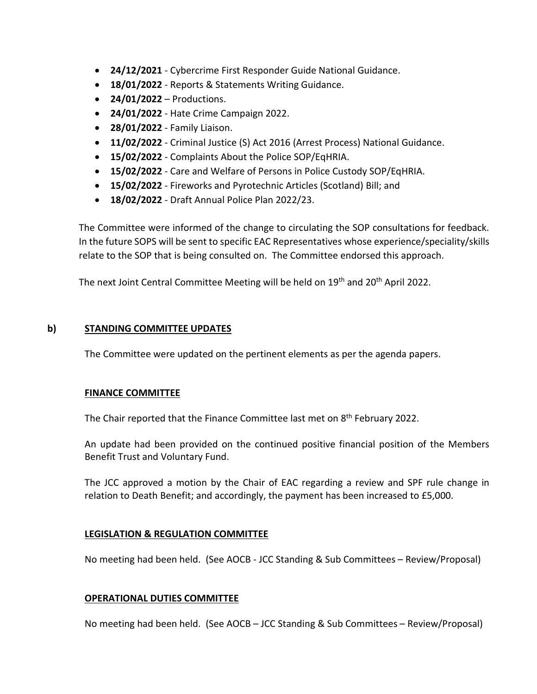- **24/12/2021** Cybercrime First Responder Guide National Guidance.
- **18/01/2022** Reports & Statements Writing Guidance.
- **24/01/2022** Productions.
- **24/01/2022** Hate Crime Campaign 2022.
- **28/01/2022** Family Liaison.
- **11/02/2022** Criminal Justice (S) Act 2016 (Arrest Process) National Guidance.
- **15/02/2022** Complaints About the Police SOP/EqHRIA.
- **15/02/2022** Care and Welfare of Persons in Police Custody SOP/EqHRIA.
- **15/02/2022** Fireworks and Pyrotechnic Articles (Scotland) Bill; and
- **18/02/2022** Draft Annual Police Plan 2022/23.

The Committee were informed of the change to circulating the SOP consultations for feedback. In the future SOPS will be sent to specific EAC Representatives whose experience/speciality/skills relate to the SOP that is being consulted on. The Committee endorsed this approach.

The next Joint Central Committee Meeting will be held on 19<sup>th</sup> and 20<sup>th</sup> April 2022.

## **b) STANDING COMMITTEE UPDATES**

The Committee were updated on the pertinent elements as per the agenda papers.

#### **FINANCE COMMITTEE**

The Chair reported that the Finance Committee last met on  $8<sup>th</sup>$  February 2022.

An update had been provided on the continued positive financial position of the Members Benefit Trust and Voluntary Fund.

The JCC approved a motion by the Chair of EAC regarding a review and SPF rule change in relation to Death Benefit; and accordingly, the payment has been increased to £5,000.

# **LEGISLATION & REGULATION COMMITTEE**

No meeting had been held. (See AOCB - JCC Standing & Sub Committees – Review/Proposal)

#### **OPERATIONAL DUTIES COMMITTEE**

No meeting had been held. (See AOCB – JCC Standing & Sub Committees – Review/Proposal)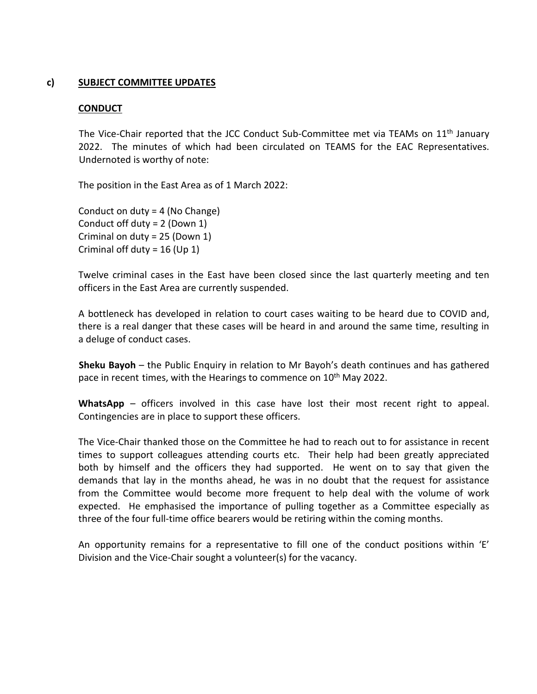#### **c) SUBJECT COMMITTEE UPDATES**

#### **CONDUCT**

The Vice-Chair reported that the JCC Conduct Sub-Committee met via TEAMs on 11<sup>th</sup> January 2022. The minutes of which had been circulated on TEAMS for the EAC Representatives. Undernoted is worthy of note:

The position in the East Area as of 1 March 2022:

Conduct on duty = 4 (No Change) Conduct off duty = 2 (Down 1) Criminal on duty = 25 (Down 1) Criminal off duty =  $16$  (Up 1)

Twelve criminal cases in the East have been closed since the last quarterly meeting and ten officers in the East Area are currently suspended.

A bottleneck has developed in relation to court cases waiting to be heard due to COVID and, there is a real danger that these cases will be heard in and around the same time, resulting in a deluge of conduct cases.

**Sheku Bayoh** – the Public Enquiry in relation to Mr Bayoh's death continues and has gathered pace in recent times, with the Hearings to commence on 10<sup>th</sup> May 2022.

**WhatsApp** – officers involved in this case have lost their most recent right to appeal. Contingencies are in place to support these officers.

The Vice-Chair thanked those on the Committee he had to reach out to for assistance in recent times to support colleagues attending courts etc. Their help had been greatly appreciated both by himself and the officers they had supported. He went on to say that given the demands that lay in the months ahead, he was in no doubt that the request for assistance from the Committee would become more frequent to help deal with the volume of work expected. He emphasised the importance of pulling together as a Committee especially as three of the four full-time office bearers would be retiring within the coming months.

An opportunity remains for a representative to fill one of the conduct positions within 'E' Division and the Vice-Chair sought a volunteer(s) for the vacancy.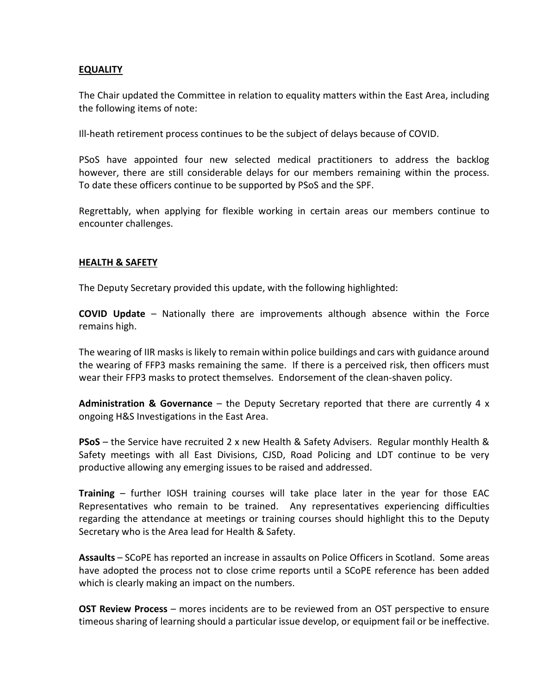#### **EQUALITY**

The Chair updated the Committee in relation to equality matters within the East Area, including the following items of note:

Ill-heath retirement process continues to be the subject of delays because of COVID.

PSoS have appointed four new selected medical practitioners to address the backlog however, there are still considerable delays for our members remaining within the process. To date these officers continue to be supported by PSoS and the SPF.

Regrettably, when applying for flexible working in certain areas our members continue to encounter challenges.

#### **HEALTH & SAFETY**

The Deputy Secretary provided this update, with the following highlighted:

**COVID Update** – Nationally there are improvements although absence within the Force remains high.

The wearing of IIR masks is likely to remain within police buildings and cars with guidance around the wearing of FFP3 masks remaining the same. If there is a perceived risk, then officers must wear their FFP3 masks to protect themselves. Endorsement of the clean-shaven policy.

**Administration & Governance** – the Deputy Secretary reported that there are currently 4 x ongoing H&S Investigations in the East Area.

**PSoS** – the Service have recruited 2 x new Health & Safety Advisers. Regular monthly Health & Safety meetings with all East Divisions, CJSD, Road Policing and LDT continue to be very productive allowing any emerging issues to be raised and addressed.

**Training** – further IOSH training courses will take place later in the year for those EAC Representatives who remain to be trained. Any representatives experiencing difficulties regarding the attendance at meetings or training courses should highlight this to the Deputy Secretary who is the Area lead for Health & Safety.

**Assaults** – SCoPE has reported an increase in assaults on Police Officers in Scotland. Some areas have adopted the process not to close crime reports until a SCoPE reference has been added which is clearly making an impact on the numbers.

**OST Review Process** – mores incidents are to be reviewed from an OST perspective to ensure timeous sharing of learning should a particular issue develop, or equipment fail or be ineffective.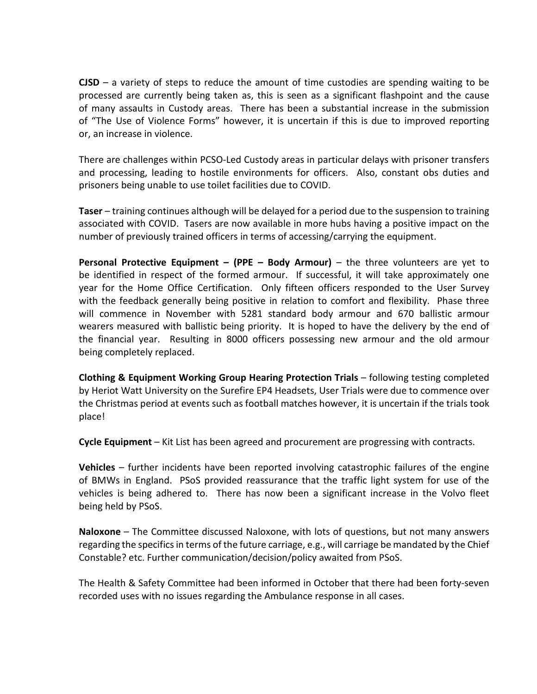**CJSD** – a variety of steps to reduce the amount of time custodies are spending waiting to be processed are currently being taken as, this is seen as a significant flashpoint and the cause of many assaults in Custody areas. There has been a substantial increase in the submission of "The Use of Violence Forms" however, it is uncertain if this is due to improved reporting or, an increase in violence.

There are challenges within PCSO-Led Custody areas in particular delays with prisoner transfers and processing, leading to hostile environments for officers. Also, constant obs duties and prisoners being unable to use toilet facilities due to COVID.

**Taser** – training continues although will be delayed for a period due to the suspension to training associated with COVID. Tasers are now available in more hubs having a positive impact on the number of previously trained officers in terms of accessing/carrying the equipment.

**Personal Protective Equipment – (PPE – Body Armour)** – the three volunteers are yet to be identified in respect of the formed armour. If successful, it will take approximately one year for the Home Office Certification. Only fifteen officers responded to the User Survey with the feedback generally being positive in relation to comfort and flexibility. Phase three will commence in November with 5281 standard body armour and 670 ballistic armour wearers measured with ballistic being priority. It is hoped to have the delivery by the end of the financial year. Resulting in 8000 officers possessing new armour and the old armour being completely replaced.

**Clothing & Equipment Working Group Hearing Protection Trials** – following testing completed by Heriot Watt University on the Surefire EP4 Headsets, User Trials were due to commence over the Christmas period at events such as football matches however, it is uncertain if the trials took place!

**Cycle Equipment** – Kit List has been agreed and procurement are progressing with contracts.

**Vehicles** – further incidents have been reported involving catastrophic failures of the engine of BMWs in England. PSoS provided reassurance that the traffic light system for use of the vehicles is being adhered to. There has now been a significant increase in the Volvo fleet being held by PSoS.

**Naloxone** – The Committee discussed Naloxone, with lots of questions, but not many answers regarding the specifics in terms of the future carriage, e.g., will carriage be mandated by the Chief Constable? etc. Further communication/decision/policy awaited from PSoS.

The Health & Safety Committee had been informed in October that there had been forty-seven recorded uses with no issues regarding the Ambulance response in all cases.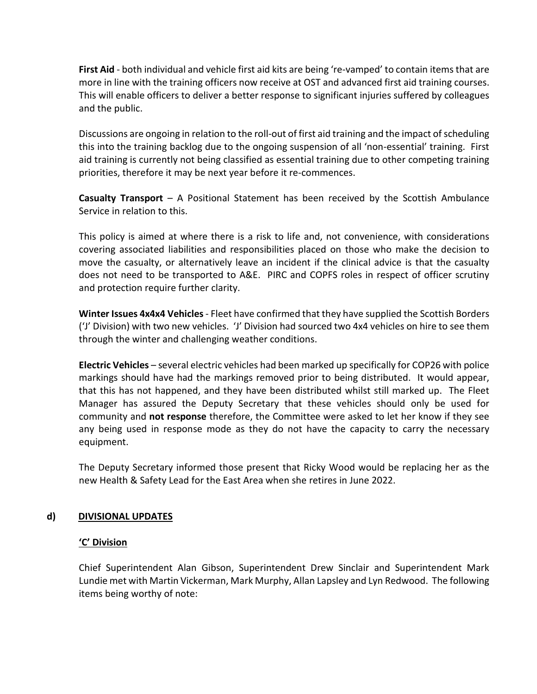**First Aid** - both individual and vehicle first aid kits are being 're-vamped' to contain items that are more in line with the training officers now receive at OST and advanced first aid training courses. This will enable officers to deliver a better response to significant injuries suffered by colleagues and the public.

Discussions are ongoing in relation to the roll-out of first aid training and the impact of scheduling this into the training backlog due to the ongoing suspension of all 'non-essential' training. First aid training is currently not being classified as essential training due to other competing training priorities, therefore it may be next year before it re-commences.

**Casualty Transport** – A Positional Statement has been received by the Scottish Ambulance Service in relation to this.

This policy is aimed at where there is a risk to life and, not convenience, with considerations covering associated liabilities and responsibilities placed on those who make the decision to move the casualty, or alternatively leave an incident if the clinical advice is that the casualty does not need to be transported to A&E. PIRC and COPFS roles in respect of officer scrutiny and protection require further clarity.

**Winter Issues 4x4x4 Vehicles** - Fleet have confirmed that they have supplied the Scottish Borders ('J' Division) with two new vehicles. 'J' Division had sourced two 4x4 vehicles on hire to see them through the winter and challenging weather conditions.

**Electric Vehicles** – several electric vehicles had been marked up specifically for COP26 with police markings should have had the markings removed prior to being distributed. It would appear, that this has not happened, and they have been distributed whilst still marked up. The Fleet Manager has assured the Deputy Secretary that these vehicles should only be used for community and **not response** therefore, the Committee were asked to let her know if they see any being used in response mode as they do not have the capacity to carry the necessary equipment.

The Deputy Secretary informed those present that Ricky Wood would be replacing her as the new Health & Safety Lead for the East Area when she retires in June 2022.

# **d) DIVISIONAL UPDATES**

#### **'C' Division**

Chief Superintendent Alan Gibson, Superintendent Drew Sinclair and Superintendent Mark Lundie met with Martin Vickerman, Mark Murphy, Allan Lapsley and Lyn Redwood. The following items being worthy of note: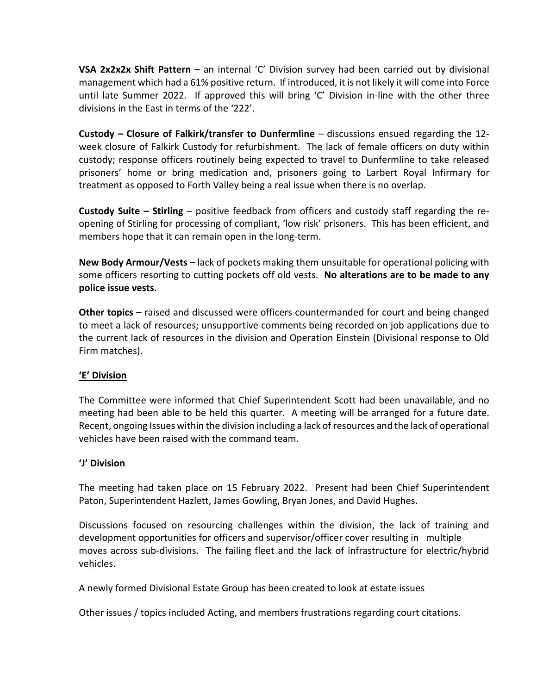**VSA 2x2x2x Shift Pattern –** an internal 'C' Division survey had been carried out by divisional management which had a 61% positive return. If introduced, it is not likely it will come into Force until late Summer 2022. If approved this will bring 'C' Division in-line with the other three divisions in the East in terms of the '222'.

**Custody – Closure of Falkirk/transfer to Dunfermline** – discussions ensued regarding the 12 week closure of Falkirk Custody for refurbishment. The lack of female officers on duty within custody; response officers routinely being expected to travel to Dunfermline to take released prisoners' home or bring medication and, prisoners going to Larbert Royal Infirmary for treatment as opposed to Forth Valley being a real issue when there is no overlap.

**Custody Suite – Stirling** – positive feedback from officers and custody staff regarding the reopening of Stirling for processing of compliant, 'low risk' prisoners. This has been efficient, and members hope that it can remain open in the long-term.

**New Body Armour/Vests** – lack of pockets making them unsuitable for operational policing with some officers resorting to cutting pockets off old vests. **No alterations are to be made to any police issue vests.** 

**Other topics** – raised and discussed were officers countermanded for court and being changed to meet a lack of resources; unsupportive comments being recorded on job applications due to the current lack of resources in the division and Operation Einstein (Divisional response to Old Firm matches).

# **'E' Division**

The Committee were informed that Chief Superintendent Scott had been unavailable, and no meeting had been able to be held this quarter. A meeting will be arranged for a future date. Recent, ongoing Issues within the division including a lack of resources and the lack of operational vehicles have been raised with the command team.

# **'J' Division**

The meeting had taken place on 15 February 2022. Present had been Chief Superintendent Paton, Superintendent Hazlett, James Gowling, Bryan Jones, and David Hughes.

Discussions focused on resourcing challenges within the division, the lack of training and development opportunities for officers and supervisor/officer cover resulting in multiple moves across sub-divisions. The failing fleet and the lack of infrastructure for electric/hybrid vehicles.

A newly formed Divisional Estate Group has been created to look at estate issues

Other issues / topics included Acting, and members frustrations regarding court citations.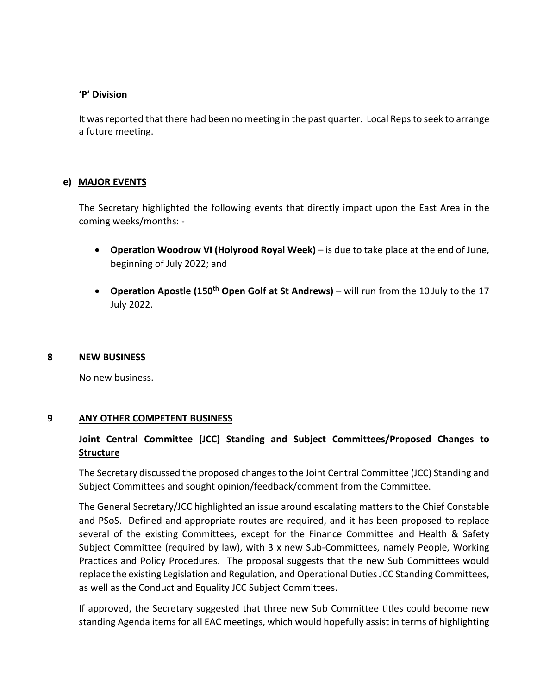#### **'P' Division**

It was reported that there had been no meeting in the past quarter. Local Reps to seek to arrange a future meeting.

#### **e) MAJOR EVENTS**

The Secretary highlighted the following events that directly impact upon the East Area in the coming weeks/months: -

- **Operation Woodrow VI (Holyrood Royal Week)**  is due to take place at the end of June, beginning of July 2022; and
- **Operation Apostle (150th Open Golf at St Andrews)**  will run from the 10 July to the 17 July 2022.

#### **8 NEW BUSINESS**

No new business.

#### **9 ANY OTHER COMPETENT BUSINESS**

# **Joint Central Committee (JCC) Standing and Subject Committees/Proposed Changes to Structure**

The Secretary discussed the proposed changes to the Joint Central Committee (JCC) Standing and Subject Committees and sought opinion/feedback/comment from the Committee.

The General Secretary/JCC highlighted an issue around escalating matters to the Chief Constable and PSoS. Defined and appropriate routes are required, and it has been proposed to replace several of the existing Committees, except for the Finance Committee and Health & Safety Subject Committee (required by law), with 3 x new Sub-Committees, namely People, Working Practices and Policy Procedures. The proposal suggests that the new Sub Committees would replace the existing Legislation and Regulation, and Operational Duties JCC Standing Committees, as well as the Conduct and Equality JCC Subject Committees.

If approved, the Secretary suggested that three new Sub Committee titles could become new standing Agenda items for all EAC meetings, which would hopefully assist in terms of highlighting